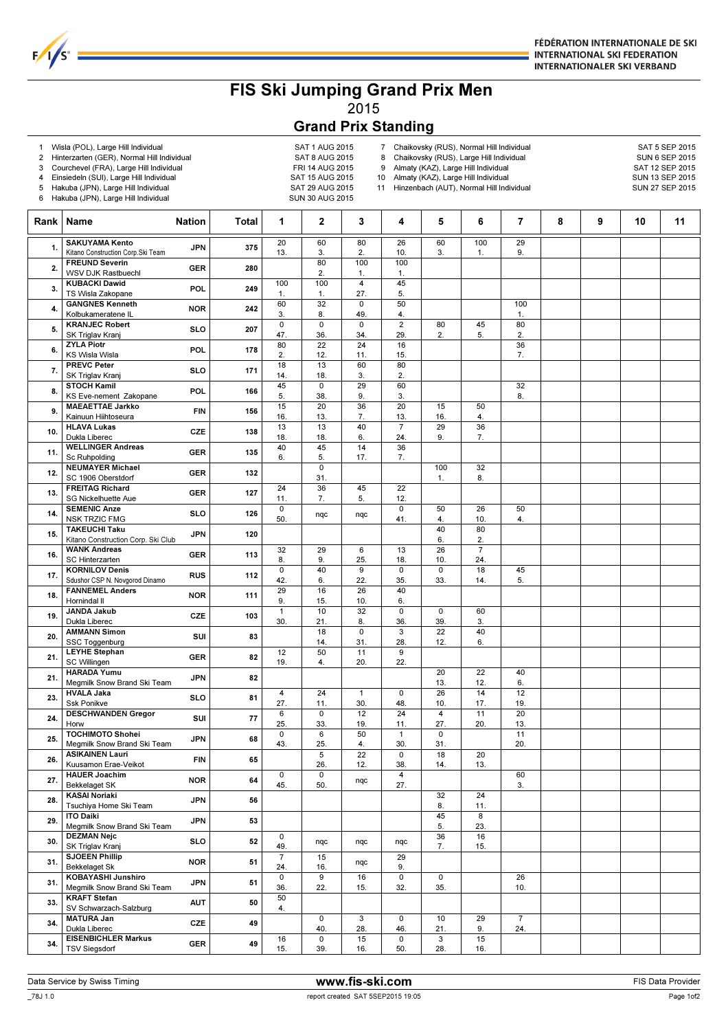

## FIS Ski Jumping Grand Prix Men 2015

## Grand Prix Standing

1 Wisla (POL), Large Hill Individual and the same SAT 1 AUG 2015<br>2 Hinterzarten (GER), Normal Hill Individual SAT 8 AUG 2015

 $F/I/S^c$ 

- 2 Hinterzarten (GER), Normal Hill Individual SAT 8 AUG 2015<br>3 Courchevel (FRA), Large Hill Individual FRI 14 AUG 2015
	- Courchevel (FRA), Large Hill Individual
- 4 Einsiedeln (SUI), Large Hill Individual SAT 15 AUG 2015
- 
- 7 Chaikovsky (RUS), Normal Hill Individual SAT 5 SEP 2015<br>8 Chaikovsky (RUS), Large Hill Individual SUN 6 SEP 2015 8 Chaikovsky (RUS), Large Hill Individual SUN 6 SEP 2015<br>9 Almaty (KAZ), Large Hill Individual Sun SAT 12 SEP 2015 9 Almaty (KAZ), Large Hill Individual
- 
- 
- 
- 10 Almaty (KAZ), Large Hill Individual SUN 13 SEP 2015

| 6    | Hakuba (JPN), Large Hill Individual<br>Hakuba (JPN), Large Hill Individual |               | SAT 29 AUG 2015<br>11 Hinzenbach (AUT), Normal Hill Individual<br>SUN 27 SEP 2015<br>SUN 30 AUG 2015 |                       |                       |                                |                        |                       |                       |                        |   |   |    |    |
|------|----------------------------------------------------------------------------|---------------|------------------------------------------------------------------------------------------------------|-----------------------|-----------------------|--------------------------------|------------------------|-----------------------|-----------------------|------------------------|---|---|----|----|
| Rank | Name                                                                       | <b>Nation</b> | Total                                                                                                | 1                     | 2                     | 3                              | 4                      | 5                     | 6                     | 7                      | 8 | 9 | 10 | 11 |
| 1.   | <b>SAKUYAMA Kento</b><br>Kitano Construction Corp.Ski Team                 | <b>JPN</b>    | 375                                                                                                  | 20<br>13.             | 60<br>3.              | 80<br>2.                       | 26<br>10.              | 60<br>3.              | 100<br>1.             | 29<br>9.               |   |   |    |    |
| 2.   | <b>FREUND Severin</b><br>WSV DJK Rastbuechl                                | <b>GER</b>    | 280                                                                                                  |                       | 80<br>2.              | 100<br>1.                      | 100<br>1.              |                       |                       |                        |   |   |    |    |
| 3.   | <b>KUBACKI Dawid</b><br>TS Wisla Zakopane                                  | POL           | 249                                                                                                  | 100<br>1.             | 100<br>$\mathbf{1}$ . | $\overline{\mathbf{4}}$<br>27. | 45<br>5.               |                       |                       |                        |   |   |    |    |
| 4.   | <b>GANGNES Kenneth</b><br>Kolbukameratene IL                               | <b>NOR</b>    | 242                                                                                                  | 60<br>3.              | 32<br>8.              | 0<br>49.                       | 50<br>4.               |                       |                       | 100<br>1.              |   |   |    |    |
| 5.   | <b>KRANJEC Robert</b><br>SK Triglav Kranj                                  | <b>SLO</b>    | 207                                                                                                  | $\overline{0}$<br>47. | $\mathsf 0$<br>36.    | $\mathbf 0$<br>34.             | $\overline{2}$<br>29.  | 80<br>2.              | 45<br>5.              | 80<br>2.               |   |   |    |    |
| 6.   | <b>ZYLA Piotr</b><br><b>KS Wisla Wisla</b>                                 | POL           | 178                                                                                                  | 80<br>2.              | 22<br>12.             | 24<br>11.                      | 16<br>15.              |                       |                       | 36<br>7.               |   |   |    |    |
| 7.   | <b>PREVC Peter</b><br>SK Triglav Kranj                                     | <b>SLO</b>    | 171                                                                                                  | 18<br>14.             | 13<br>18.             | 60<br>3.                       | 80<br>2.               |                       |                       |                        |   |   |    |    |
| 8.   | <b>STOCH Kamil</b><br>KS Eve-nement Zakopane                               | POL           | 166                                                                                                  | 45<br>5.              | 0<br>38.              | 29<br>9.                       | 60<br>3.               |                       |                       | 32<br>8.               |   |   |    |    |
| 9.   | <b>MAEAETTAE Jarkko</b><br>Kainuun Hiihtoseura                             | <b>FIN</b>    | 156                                                                                                  | 15<br>16.             | 20<br>13.             | 36<br>7.                       | 20<br>13.              | 15<br>16.             | 50<br>4.              |                        |   |   |    |    |
| 10.  | <b>HLAVA Lukas</b><br>Dukla Liberec                                        | CZE           | 138                                                                                                  | 13<br>18.             | 13<br>18.             | 40<br>6.                       | $\overline{7}$<br>24.  | 29<br>9.              | 36<br>7.              |                        |   |   |    |    |
| 11.  | <b>WELLINGER Andreas</b><br><b>Sc Ruhpolding</b>                           | <b>GER</b>    | 135                                                                                                  | 40<br>6.              | 45<br>5.              | 14<br>17.                      | 36<br>7.               |                       |                       |                        |   |   |    |    |
| 12.  | <b>NEUMAYER Michael</b><br>SC 1906 Oberstdorf                              | <b>GER</b>    | 132                                                                                                  |                       | $\mathbf 0$<br>31.    |                                |                        | 100<br>1.             | 32<br>8.              |                        |   |   |    |    |
| 13.  | <b>FREITAG Richard</b><br><b>SG Nickelhuette Aue</b>                       | <b>GER</b>    | 127                                                                                                  | 24<br>11.             | 36<br>7.              | 45<br>5.                       | 22<br>12.              |                       |                       |                        |   |   |    |    |
| 14.  | <b>SEMENIC Anze</b><br><b>NSK TRZIC FMG</b>                                | <b>SLO</b>    | 126                                                                                                  | 0<br>50.              | nqc                   | nqc                            | $\mathsf 0$<br>41.     | 50<br>4.              | 26<br>10.             | 50<br>4.               |   |   |    |    |
| 15.  | <b>TAKEUCHI Taku</b><br>Kitano Construction Corp. Ski Club                 | <b>JPN</b>    | 120                                                                                                  |                       |                       |                                |                        | 40<br>6.              | 80<br>2.              |                        |   |   |    |    |
| 16.  | <b>WANK Andreas</b><br><b>SC Hinterzarten</b>                              | <b>GER</b>    | 113                                                                                                  | 32<br>8.              | 29<br>9.              | 6<br>25.                       | 13<br>18.              | 26<br>10.             | $\overline{7}$<br>24. |                        |   |   |    |    |
| 17.  | <b>KORNILOV Denis</b><br>Sdushor CSP N. Novgorod Dinamo                    | <b>RUS</b>    | 112                                                                                                  | $\mathsf 0$<br>42.    | 40<br>6.              | 9<br>22.                       | $\mathbf 0$<br>35.     | $\mathbf 0$<br>33.    | 18<br>14.             | 45<br>5.               |   |   |    |    |
| 18.  | <b>FANNEMEL Anders</b><br>Hornindal II                                     | <b>NOR</b>    | 111                                                                                                  | 29<br>9.              | 16<br>15.             | 26<br>10.                      | 40<br>6.               |                       |                       |                        |   |   |    |    |
| 19.  | <b>JANDA Jakub</b><br>Dukla Liberec                                        | CZE           | 103                                                                                                  | $\mathbf{1}$<br>30.   | 10<br>21.             | 32<br>8.                       | $\mathsf 0$<br>36.     | $\mathbf 0$<br>39.    | 60<br>3.              |                        |   |   |    |    |
| 20.  | <b>AMMANN Simon</b><br>SSC Toggenburg                                      | SUI           | 83                                                                                                   |                       | 18<br>14.             | $\overline{0}$<br>31.          | 3<br>28.               | 22<br>12.             | 40<br>6.              |                        |   |   |    |    |
| 21.  | <b>LEYHE Stephan</b><br><b>SC Willingen</b>                                | <b>GER</b>    | 82                                                                                                   | 12<br>19.             | 50<br>4.              | 11<br>20.                      | 9<br>22.               |                       |                       |                        |   |   |    |    |
| 21.  | <b>HARADA Yumu</b><br>Megmilk Snow Brand Ski Team                          | <b>JPN</b>    | 82                                                                                                   |                       |                       |                                |                        | 20<br>13.             | 22<br>12.             | 40<br>6.               |   |   |    |    |
| 23.  | <b>HVALA Jaka</b><br>Ssk Ponikve                                           | SLO           | 81                                                                                                   | 4<br>27.              | 24<br>11.             | $\mathbf{1}$<br>30.            | 0<br>48.               | 26<br>10.             | 14<br>17.             | 12<br>19.              |   |   |    |    |
| 24.  | <b>DESCHWANDEN Gregor</b><br>Horw                                          | SUI           | 77                                                                                                   | 6<br>25.              | $\mathsf 0$<br>33.    | 12<br>19.                      | $\overline{24}$<br>11. | $\overline{4}$<br>27. | 11<br>20.             | $\overline{20}$<br>13. |   |   |    |    |
| 25.  | <b>TOCHIMOTO Shohei</b><br>Megmilk Snow Brand Ski Team                     | <b>JPN</b>    | 68                                                                                                   | 0<br>43.              | 6<br>25.              | 50<br>4.                       | $\mathbf{1}$<br>30.    | 0<br>31.              |                       | 11<br>20.              |   |   |    |    |
| 26.  | <b>ASIKAINEN Lauri</b><br>Kuusamon Erae-Veikot                             | <b>FIN</b>    | 65                                                                                                   |                       | 5<br>26.              | 22<br>12.                      | 0<br>38.               | 18<br>14.             | 20<br>13.             |                        |   |   |    |    |
| 27.  | <b>HAUER Joachim</b><br><b>Bekkelaget SK</b>                               | <b>NOR</b>    | 64                                                                                                   | 0<br>45.              | $\mathsf 0$<br>50.    | nqc                            | 4<br>27.               |                       |                       | 60<br>3.               |   |   |    |    |
| 28.  | <b>KASAI Noriaki</b><br>Tsuchiya Home Ski Team                             | <b>JPN</b>    | 56                                                                                                   |                       |                       |                                |                        | 32<br>8.              | 24<br>11.             |                        |   |   |    |    |
| 29.  | <b>ITO Daiki</b><br>Megmilk Snow Brand Ski Team                            | <b>JPN</b>    | 53                                                                                                   |                       |                       |                                |                        | 45<br>5.              | 8<br>23.              |                        |   |   |    |    |
| 30.  | <b>DEZMAN Nejc</b><br>SK Triglav Kranj                                     | SLO           | 52                                                                                                   | 0<br>49.              | nqc                   | nqc                            | nqc                    | 36<br>7.              | 16<br>15.             |                        |   |   |    |    |
| 31.  | <b>SJOEEN Phillip</b><br><b>Bekkelaget Sk</b>                              | <b>NOR</b>    | 51                                                                                                   | $\overline{7}$<br>24. | 15<br>16.             | nqc                            | 29<br>9.               |                       |                       |                        |   |   |    |    |
|      |                                                                            |               |                                                                                                      |                       |                       |                                |                        |                       |                       |                        |   |   |    |    |

33.  $\begin{array}{|l|l|}\n\text{KRAFT Stefan} & \text{AUT} & \text{50} & \text{50} \\
\hline\n\text{SV Schwarzach-Salzburg} & & \text{AUT} & \text{50} & 4.\n\end{array}$ 

MATURA Jan<br>
Dukla Liberec CZE 49<br>
EISENBICHLER Markus CCC 10

TSV Siegsdorf GER 49

16 15.

3 28.

15 16.

 $\overline{0}$ 32.

 $\overline{0}$ 46.

 $\overline{0}$ 50.

 $\overline{0}$ 35.

10 21.

3 28. 29 9.

15

26

 $\overline{7}$ 

 $\overline{0}$ 36.

10. 31. KOBAYASHI Junshiro Megmilk Snow Brand Ski Team JPN 51  $\frac{1}{50}$ 

24. 34. MATURA Jan

16 15.

34. EISENBICHLER Markus 16 0 15 0 3 15<br>15. GER 49 15. 39. 16. 50. 28. 16.

 $\overline{9}$ 22.

 $\overline{\mathfrak{o}}$ 40.

 $\overline{0}$ 39.